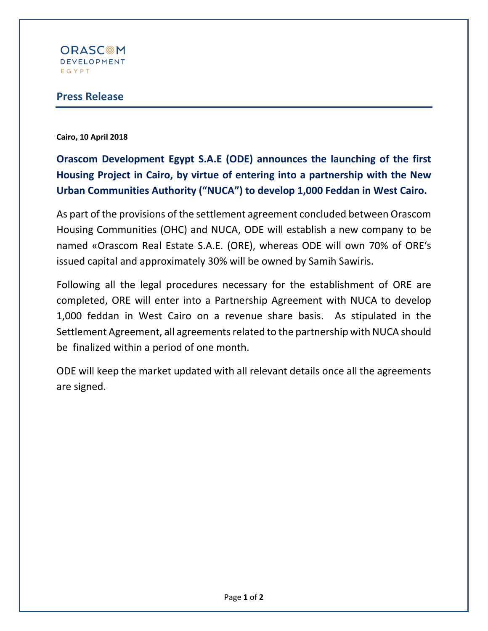

## **Press Release**

**Cairo, 10 April 2018**

**Orascom Development Egypt S.A.E (ODE) announces the launching of the first Housing Project in Cairo, by virtue of entering into a partnership with the New Urban Communities Authority ("NUCA") to develop 1,000 Feddan in West Cairo.**

As part of the provisions of the settlement agreement concluded between Orascom Housing Communities (OHC) and NUCA, ODE will establish a new company to be named «Orascom Real Estate S.A.E. (ORE), whereas ODE will own 70% of ORE's issued capital and approximately 30% will be owned by Samih Sawiris.

Following all the legal procedures necessary for the establishment of ORE are completed, ORE will enter into a Partnership Agreement with NUCA to develop 1,000 feddan in West Cairo on a revenue share basis. As stipulated in the Settlement Agreement, all agreements related to the partnership with NUCA should be finalized within a period of one month.

ODE will keep the market updated with all relevant details once all the agreements are signed.